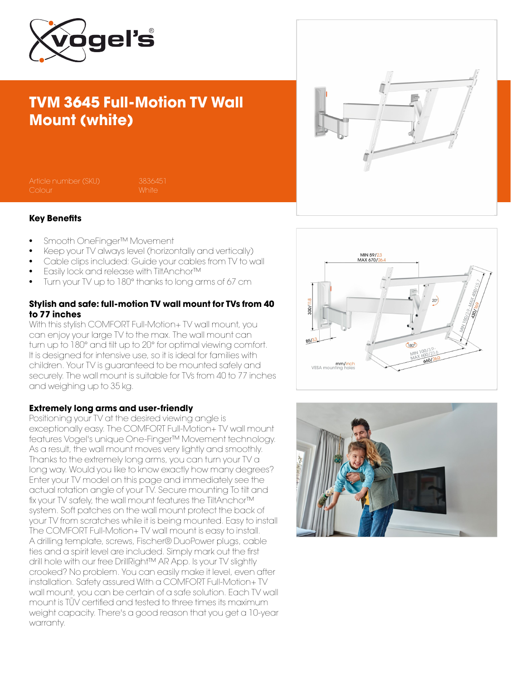

## TVM 3645 Full-Motion TV Wall Mount (white)

Article number (SKU) 3836451

#### Key Benefits

- Smooth OneFinger™ Movement
- Keep your TV always level (horizontally and vertically)
- Cable clips included: Guide your cables from TV to wall
- Easily lock and release with TiltAnchor™
- Turn your TV up to 180° thanks to long arms of 67 cm

### Stylish and safe: full-motion TV wall mount for TVs from 40 to 77 inches

With this stylish COMFORT Full-Motion+ TV wall mount, you can enjoy your large TV to the max. The wall mount can turn up to 180° and tilt up to 20° for optimal viewing comfort. It is designed for intensive use, so it is ideal for families with children. Your TV is guaranteed to be mounted safely and securely. The wall mount is suitable for TVs from 40 to 77 inches and weighing up to 35 kg.

#### Extremely long arms and user-friendly

Positioning your TV at the desired viewing angle is exceptionally easy. The COMFORT Full-Motion+ TV wall mount features Vogel's unique One-Finger™ Movement technology. As a result, the wall mount moves very lightly and smoothly. Thanks to the extremely long arms, you can turn your TV a long way. Would you like to know exactly how many degrees? Enter your TV model on this page and immediately see the actual rotation angle of your TV. Secure mounting To tilt and fix your TV safely, the wall mount features the TiltAnchor™ system. Soft patches on the wall mount protect the back of your TV from scratches while it is being mounted. Easy to install The COMFORT Full-Motion+ TV wall mount is easy to install. A drilling template, screws, Fischer® DuoPower plugs, cable ties and a spirit level are included. Simply mark out the first drill hole with our free DrillRight™ AR App. Is your TV slightly crooked? No problem. You can easily make it level, even after installation. Safety assured With a COMFORT Full-Motion+ TV wall mount, you can be certain of a safe solution. Each TV wall mount is TÜV certified and tested to three times its maximum weight capacity. There's a good reason that you get a 10-year warranty.